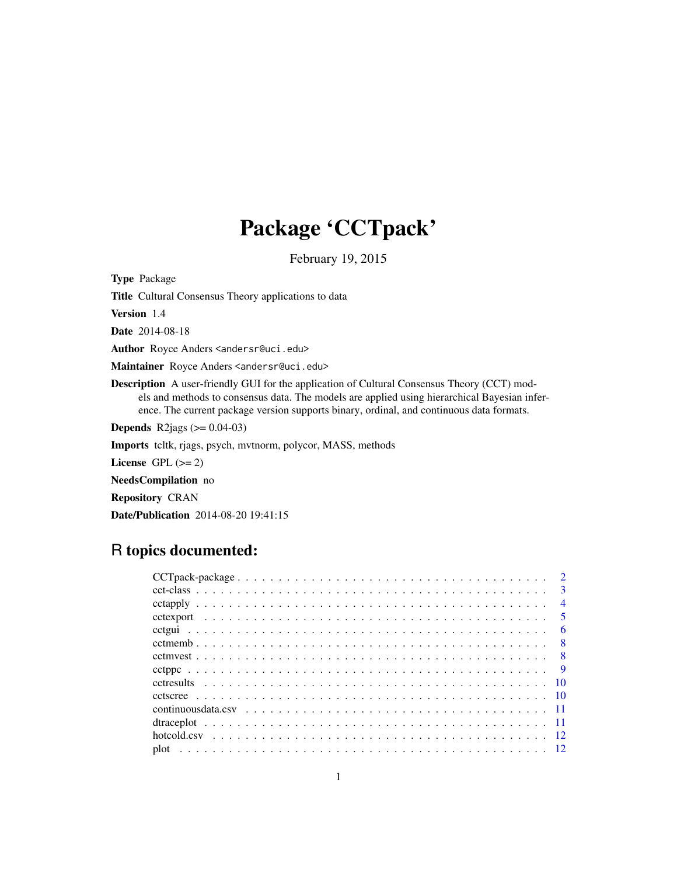## Package 'CCTpack'

February 19, 2015

<span id="page-0-0"></span>Type Package Title Cultural Consensus Theory applications to data Version 1.4 Date 2014-08-18 Author Royce Anders <andersr@uci.edu> Maintainer Royce Anders <andersr@uci.edu> Description A user-friendly GUI for the application of Cultural Consensus Theory (CCT) models and methods to consensus data. The models are applied using hierarchical Bayesian inference. The current package version supports binary, ordinal, and continuous data formats. **Depends** R2jags  $(>= 0.04 - 03)$ Imports tcltk, rjags, psych, mvtnorm, polycor, MASS, methods License GPL  $(>= 2)$ NeedsCompilation no Repository CRAN Date/Publication 2014-08-20 19:41:15

## R topics documented:

|  |  |  |  |  |  |  |  |  |  |  |  |  |  |  |  |  |  | $\overline{3}$ |
|--|--|--|--|--|--|--|--|--|--|--|--|--|--|--|--|--|--|----------------|
|  |  |  |  |  |  |  |  |  |  |  |  |  |  |  |  |  |  | $\overline{4}$ |
|  |  |  |  |  |  |  |  |  |  |  |  |  |  |  |  |  |  |                |
|  |  |  |  |  |  |  |  |  |  |  |  |  |  |  |  |  |  | - 6            |
|  |  |  |  |  |  |  |  |  |  |  |  |  |  |  |  |  |  |                |
|  |  |  |  |  |  |  |  |  |  |  |  |  |  |  |  |  |  |                |
|  |  |  |  |  |  |  |  |  |  |  |  |  |  |  |  |  |  |                |
|  |  |  |  |  |  |  |  |  |  |  |  |  |  |  |  |  |  |                |
|  |  |  |  |  |  |  |  |  |  |  |  |  |  |  |  |  |  |                |
|  |  |  |  |  |  |  |  |  |  |  |  |  |  |  |  |  |  |                |
|  |  |  |  |  |  |  |  |  |  |  |  |  |  |  |  |  |  |                |
|  |  |  |  |  |  |  |  |  |  |  |  |  |  |  |  |  |  |                |
|  |  |  |  |  |  |  |  |  |  |  |  |  |  |  |  |  |  |                |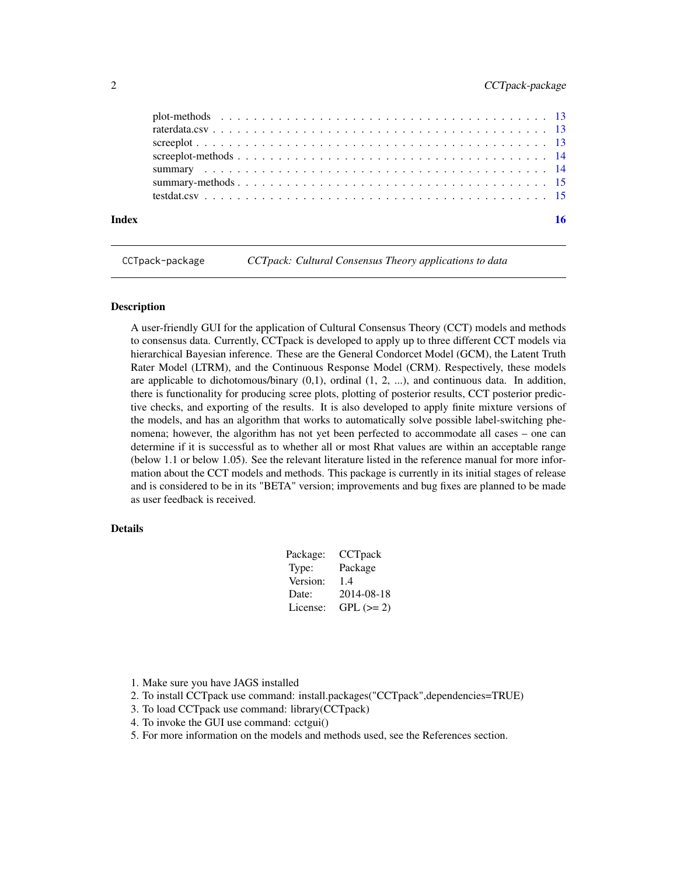<span id="page-1-0"></span>

CCTpack-package *CCTpack: Cultural Consensus Theory applications to data*

#### Description

A user-friendly GUI for the application of Cultural Consensus Theory (CCT) models and methods to consensus data. Currently, CCTpack is developed to apply up to three different CCT models via hierarchical Bayesian inference. These are the General Condorcet Model (GCM), the Latent Truth Rater Model (LTRM), and the Continuous Response Model (CRM). Respectively, these models are applicable to dichotomous/binary  $(0,1)$ , ordinal  $(1, 2, ...)$ , and continuous data. In addition, there is functionality for producing scree plots, plotting of posterior results, CCT posterior predictive checks, and exporting of the results. It is also developed to apply finite mixture versions of the models, and has an algorithm that works to automatically solve possible label-switching phenomena; however, the algorithm has not yet been perfected to accommodate all cases – one can determine if it is successful as to whether all or most Rhat values are within an acceptable range (below 1.1 or below 1.05). See the relevant literature listed in the reference manual for more information about the CCT models and methods. This package is currently in its initial stages of release and is considered to be in its "BETA" version; improvements and bug fixes are planned to be made as user feedback is received.

## Details

| Package: | CCTpack    |
|----------|------------|
| Type:    | Package    |
| Version: | 1.4        |
| Date:    | 2014-08-18 |
| License: | $GPL (=2)$ |
|          |            |

- 1. Make sure you have JAGS installed
- 2. To install CCTpack use command: install.packages("CCTpack",dependencies=TRUE)
- 3. To load CCTpack use command: library(CCTpack)
- 4. To invoke the GUI use command: cctgui()
- 5. For more information on the models and methods used, see the References section.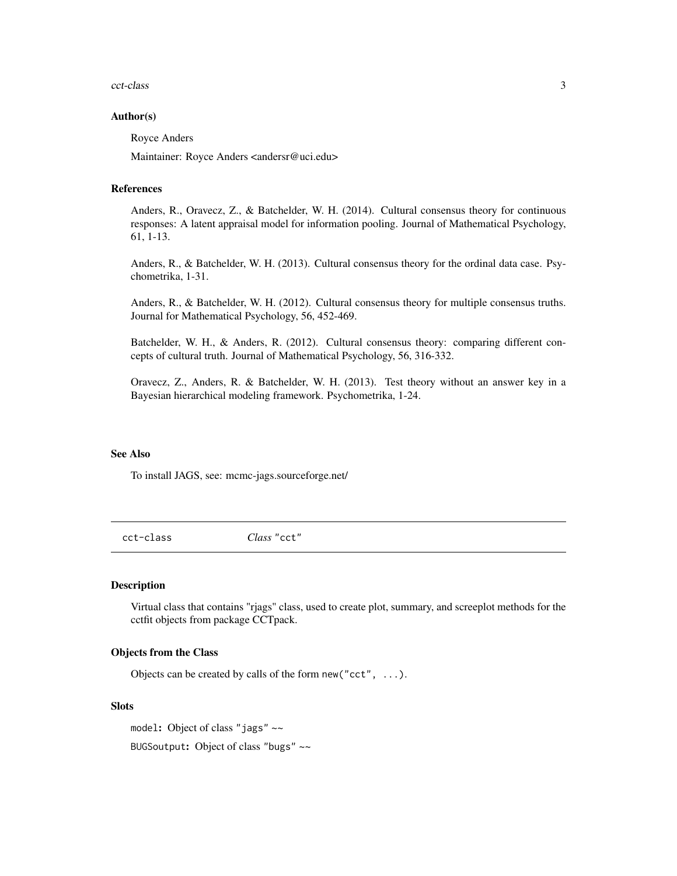#### <span id="page-2-0"></span>cct-class 3

#### Author(s)

Royce Anders

Maintainer: Royce Anders <andersr@uci.edu>

#### References

Anders, R., Oravecz, Z., & Batchelder, W. H. (2014). Cultural consensus theory for continuous responses: A latent appraisal model for information pooling. Journal of Mathematical Psychology, 61, 1-13.

Anders, R., & Batchelder, W. H. (2013). Cultural consensus theory for the ordinal data case. Psychometrika, 1-31.

Anders, R., & Batchelder, W. H. (2012). Cultural consensus theory for multiple consensus truths. Journal for Mathematical Psychology, 56, 452-469.

Batchelder, W. H., & Anders, R. (2012). Cultural consensus theory: comparing different concepts of cultural truth. Journal of Mathematical Psychology, 56, 316-332.

Oravecz, Z., Anders, R. & Batchelder, W. H. (2013). Test theory without an answer key in a Bayesian hierarchical modeling framework. Psychometrika, 1-24.

#### See Also

To install JAGS, see: mcmc-jags.sourceforge.net/

cct-class *Class* "cct"

#### Description

Virtual class that contains "rjags" class, used to create plot, summary, and screeplot methods for the cctfit objects from package CCTpack.

#### Objects from the Class

Objects can be created by calls of the form new ("cct",  $\dots$ ).

#### Slots

model: Object of class "jags" ~~ BUGSoutput: Object of class "bugs" ~~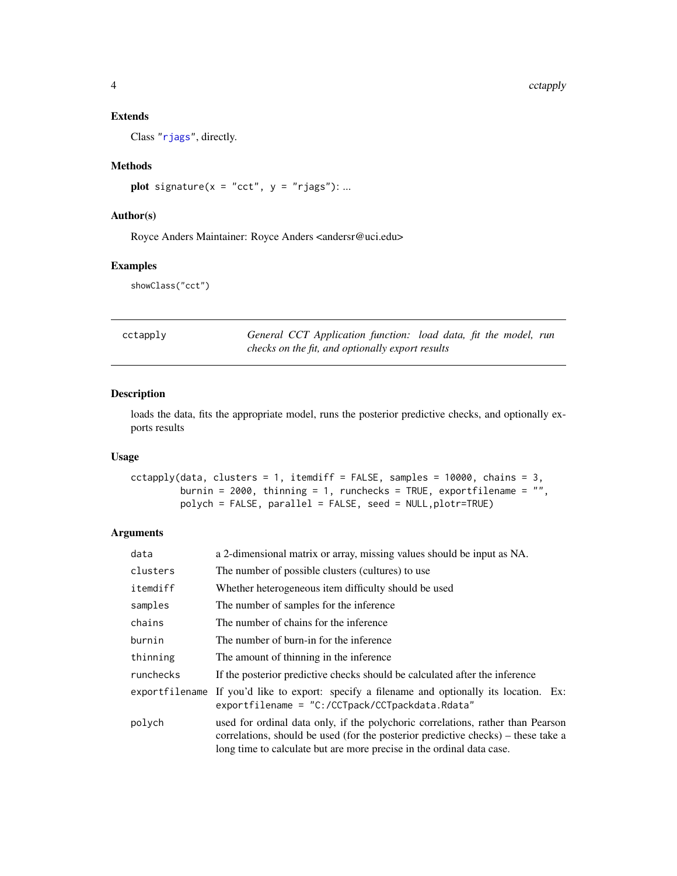## Extends

Class ["rjags"](#page-0-0), directly.

## Methods

plot signature( $x = "cct", y = "rjags"); ...$ 

### Author(s)

Royce Anders Maintainer: Royce Anders <andersr@uci.edu>

#### Examples

showClass("cct")

| ctapply: |
|----------|
|          |

cctapply *General CCT Application function: load data, fit the model, run checks on the fit, and optionally export results*

#### Description

loads the data, fits the appropriate model, runs the posterior predictive checks, and optionally exports results

## Usage

cctapply(data, clusters = 1, itemdiff = FALSE, samples = 10000, chains = 3, burnin = 2000, thinning = 1, runchecks = TRUE, exportfilename = "", polych = FALSE, parallel = FALSE, seed = NULL,plotr=TRUE)

### Arguments

| data      | a 2-dimensional matrix or array, missing values should be input as NA.                                                                                                                                                                        |
|-----------|-----------------------------------------------------------------------------------------------------------------------------------------------------------------------------------------------------------------------------------------------|
| clusters  | The number of possible clusters (cultures) to use                                                                                                                                                                                             |
| itemdiff  | Whether heterogeneous item difficulty should be used                                                                                                                                                                                          |
| samples   | The number of samples for the inference                                                                                                                                                                                                       |
| chains    | The number of chains for the inference                                                                                                                                                                                                        |
| burnin    | The number of burn-in for the inference                                                                                                                                                                                                       |
| thinning  | The amount of thinning in the inference                                                                                                                                                                                                       |
| runchecks | If the posterior predictive checks should be calculated after the inference                                                                                                                                                                   |
|           | exportfilename If you'd like to export: specify a filename and optionally its location. Ex:<br>exportfilename = "C:/CCTpack/CCTpackdata.Rdata"                                                                                                |
| polych    | used for ordinal data only, if the polychoric correlations, rather than Pearson<br>correlations, should be used (for the posterior predictive checks) – these take a<br>long time to calculate but are more precise in the ordinal data case. |

<span id="page-3-0"></span>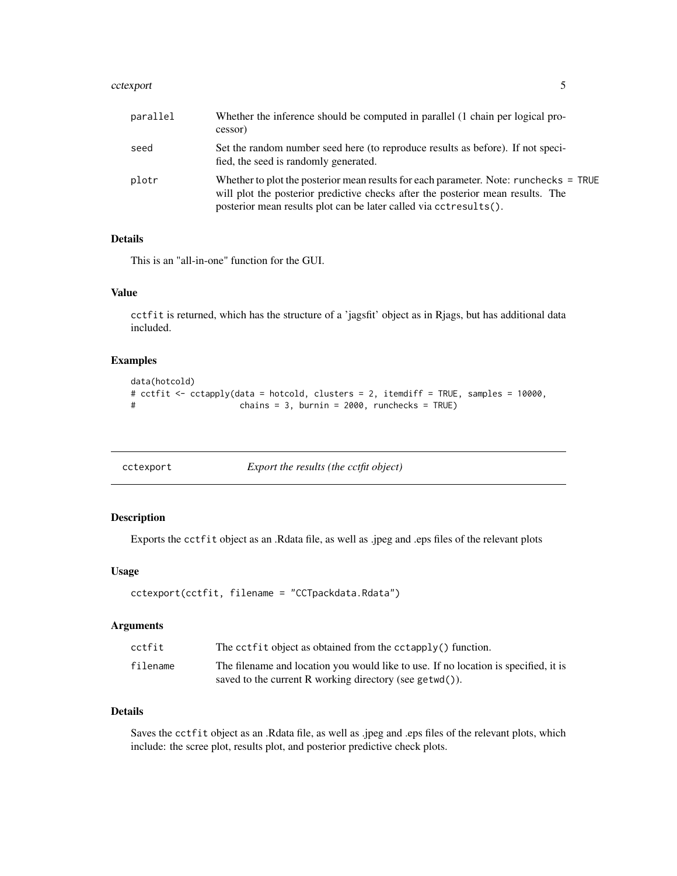#### <span id="page-4-0"></span>cctexport 5

| parallel | Whether the inference should be computed in parallel (1 chain per logical pro-<br>cessor)                                                                                                                                                     |
|----------|-----------------------------------------------------------------------------------------------------------------------------------------------------------------------------------------------------------------------------------------------|
| seed     | Set the random number seed here (to reproduce results as before). If not speci-<br>fied, the seed is randomly generated.                                                                                                                      |
| plotr    | Whether to plot the posterior mean results for each parameter. Note: runchecks = TRUE<br>will plot the posterior predictive checks after the posterior mean results. The<br>posterior mean results plot can be later called via cctresults(). |

## Details

This is an "all-in-one" function for the GUI.

## Value

cctfit is returned, which has the structure of a 'jagsfit' object as in Rjags, but has additional data included.

## Examples

```
data(hotcold)
# cctfit <- cctapply(data = hotcold, clusters = 2, itemdiff = TRUE, samples = 10000,
# chains = 3, burnin = 2000, runchecks = TRUE)
```

| cctexport |  |
|-----------|--|
|           |  |

Export the results (the cctfit object)

## Description

Exports the cctfit object as an .Rdata file, as well as .jpeg and .eps files of the relevant plots

## Usage

```
cctexport(cctfit, filename = "CCTpackdata.Rdata")
```
#### Arguments

| cctfit   | The cctfit object as obtained from the cctapply() function.                         |
|----------|-------------------------------------------------------------------------------------|
| filename | The filename and location you would like to use. If no location is specified, it is |
|          | saved to the current R working directory (see getwd()).                             |

## Details

Saves the cctfit object as an .Rdata file, as well as .jpeg and .eps files of the relevant plots, which include: the scree plot, results plot, and posterior predictive check plots.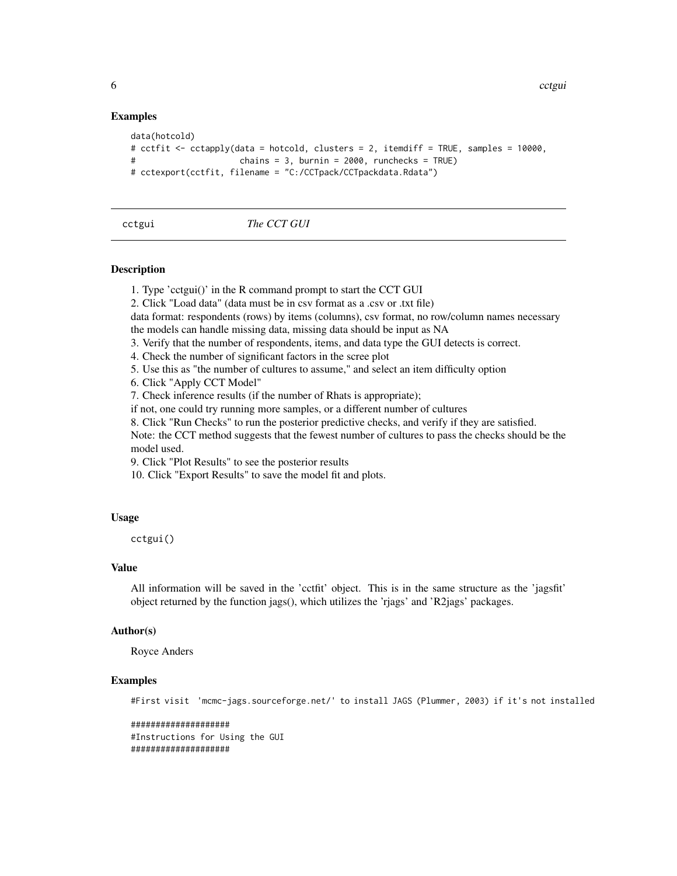### Examples

```
data(hotcold)
# cctfit <- cctapply(data = hotcold, clusters = 2, itemdiff = TRUE, samples = 10000,
# chains = 3, burnin = 2000, runchecks = TRUE)
# cctexport(cctfit, filename = "C:/CCTpack/CCTpackdata.Rdata")
```
### cctgui *The CCT GUI*

#### **Description**

- 1. Type 'cctgui()' in the R command prompt to start the CCT GUI
- 2. Click "Load data" (data must be in csv format as a .csv or .txt file)

data format: respondents (rows) by items (columns), csv format, no row/column names necessary

- the models can handle missing data, missing data should be input as NA
- 3. Verify that the number of respondents, items, and data type the GUI detects is correct.
- 4. Check the number of significant factors in the scree plot
- 5. Use this as "the number of cultures to assume," and select an item difficulty option
- 6. Click "Apply CCT Model"
- 7. Check inference results (if the number of Rhats is appropriate);
- if not, one could try running more samples, or a different number of cultures
- 8. Click "Run Checks" to run the posterior predictive checks, and verify if they are satisfied.

Note: the CCT method suggests that the fewest number of cultures to pass the checks should be the model used.

9. Click "Plot Results" to see the posterior results

10. Click "Export Results" to save the model fit and plots.

#### Usage

cctgui()

## Value

All information will be saved in the 'cctfit' object. This is in the same structure as the 'jagsfit' object returned by the function jags(), which utilizes the 'rjags' and 'R2jags' packages.

#### Author(s)

Royce Anders

## Examples

#First visit 'mcmc-jags.sourceforge.net/' to install JAGS (Plummer, 2003) if it's not installed

```
####################
#Instructions for Using the GUI
####################
```
<span id="page-5-0"></span>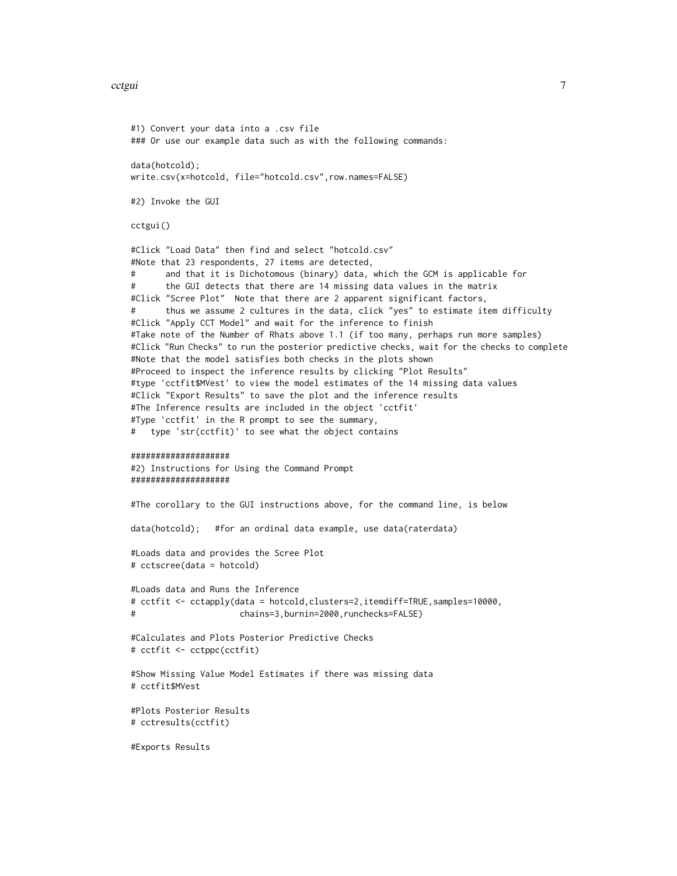#### cctgui **7**

```
#1) Convert your data into a .csv file
### Or use our example data such as with the following commands:
data(hotcold);
write.csv(x=hotcold, file="hotcold.csv",row.names=FALSE)
#2) Invoke the GUI
cctgui()
#Click "Load Data" then find and select "hotcold.csv"
#Note that 23 respondents, 27 items are detected,
# and that it is Dichotomous (binary) data, which the GCM is applicable for
      the GUI detects that there are 14 missing data values in the matrix
#Click "Scree Plot" Note that there are 2 apparent significant factors,
      thus we assume 2 cultures in the data, click "yes" to estimate item difficulty
#Click "Apply CCT Model" and wait for the inference to finish
#Take note of the Number of Rhats above 1.1 (if too many, perhaps run more samples)
#Click "Run Checks" to run the posterior predictive checks, wait for the checks to complete
#Note that the model satisfies both checks in the plots shown
#Proceed to inspect the inference results by clicking "Plot Results"
#type 'cctfit$MVest' to view the model estimates of the 14 missing data values
#Click "Export Results" to save the plot and the inference results
#The Inference results are included in the object 'cctfit'
#Type 'cctfit' in the R prompt to see the summary,
# type 'str(cctfit)' to see what the object contains
####################
#2) Instructions for Using the Command Prompt
####################
#The corollary to the GUI instructions above, for the command line, is below
data(hotcold); #for an ordinal data example, use data(raterdata)
#Loads data and provides the Scree Plot
# cctscree(data = hotcold)
#Loads data and Runs the Inference
# cctfit <- cctapply(data = hotcold,clusters=2,itemdiff=TRUE,samples=10000,
# chains=3,burnin=2000,runchecks=FALSE)
#Calculates and Plots Posterior Predictive Checks
# cctfit <- cctppc(cctfit)
#Show Missing Value Model Estimates if there was missing data
# cctfit$MVest
#Plots Posterior Results
# cctresults(cctfit)
#Exports Results
```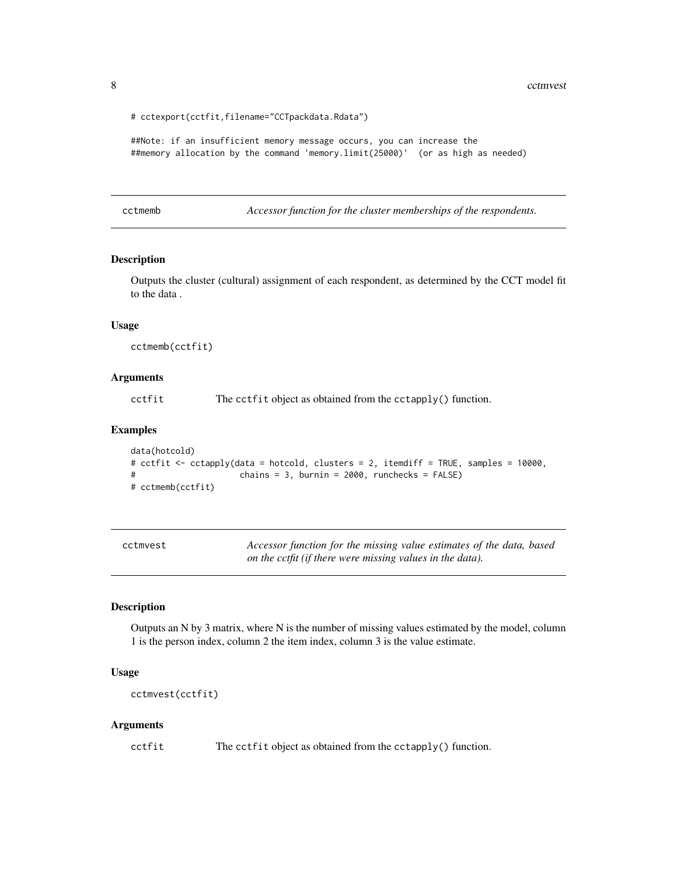<span id="page-7-0"></span>8 community of the community of the community of the community of the community of the community of the community of the community of the community of the community of the community of the community of the community of the

```
# cctexport(cctfit,filename="CCTpackdata.Rdata")
```

```
##Note: if an insufficient memory message occurs, you can increase the
##memory allocation by the command 'memory.limit(25000)' (or as high as needed)
```
cctmemb *Accessor function for the cluster memberships of the respondents.*

#### Description

Outputs the cluster (cultural) assignment of each respondent, as determined by the CCT model fit to the data .

#### Usage

cctmemb(cctfit)

#### Arguments

cctfit The cctfit object as obtained from the cctapply() function.

#### Examples

```
data(hotcold)
# cctfit <- cctapply(data = hotcold, clusters = 2, itemdiff = TRUE, samples = 10000,
# chains = 3, burnin = 2000, runchecks = FALSE)
# cctmemb(cctfit)
```

| cctmvest |
|----------|
|----------|

Accessor function for the missing value estimates of the data, based *on the cctfit (if there were missing values in the data).*

#### Description

Outputs an N by 3 matrix, where N is the number of missing values estimated by the model, column 1 is the person index, column 2 the item index, column 3 is the value estimate.

#### Usage

```
cctmvest(cctfit)
```
#### Arguments

```
cctfit The cctfit object as obtained from the cctapply() function.
```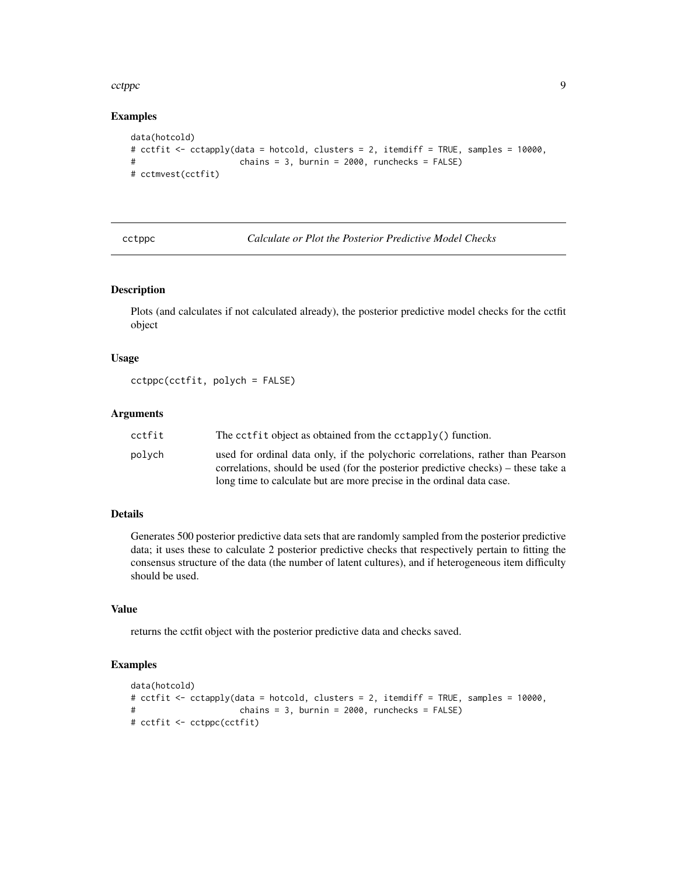#### <span id="page-8-0"></span>cctppc  $\sim$  9

### Examples

```
data(hotcold)
# cctfit <- cctapply(data = hotcold, clusters = 2, itemdiff = TRUE, samples = 10000,
# chains = 3, burnin = 2000, runchecks = FALSE)
# cctmvest(cctfit)
```
cctppc *Calculate or Plot the Posterior Predictive Model Checks*

#### Description

Plots (and calculates if not calculated already), the posterior predictive model checks for the cctfit object

## Usage

cctppc(cctfit, polych = FALSE)

## Arguments

| cctfit | The cctfit object as obtained from the cctapply() function.                                                                                                          |
|--------|----------------------------------------------------------------------------------------------------------------------------------------------------------------------|
| polvch | used for ordinal data only, if the polychoric correlations, rather than Pearson<br>correlations, should be used (for the posterior predictive checks) – these take a |
|        | long time to calculate but are more precise in the ordinal data case.                                                                                                |

#### Details

Generates 500 posterior predictive data sets that are randomly sampled from the posterior predictive data; it uses these to calculate 2 posterior predictive checks that respectively pertain to fitting the consensus structure of the data (the number of latent cultures), and if heterogeneous item difficulty should be used.

## Value

returns the cctfit object with the posterior predictive data and checks saved.

```
data(hotcold)
# cctfit <- cctapply(data = hotcold, clusters = 2, itemdiff = TRUE, samples = 10000,
# chains = 3, burnin = 2000, runchecks = FALSE)
# cctfit <- cctppc(cctfit)
```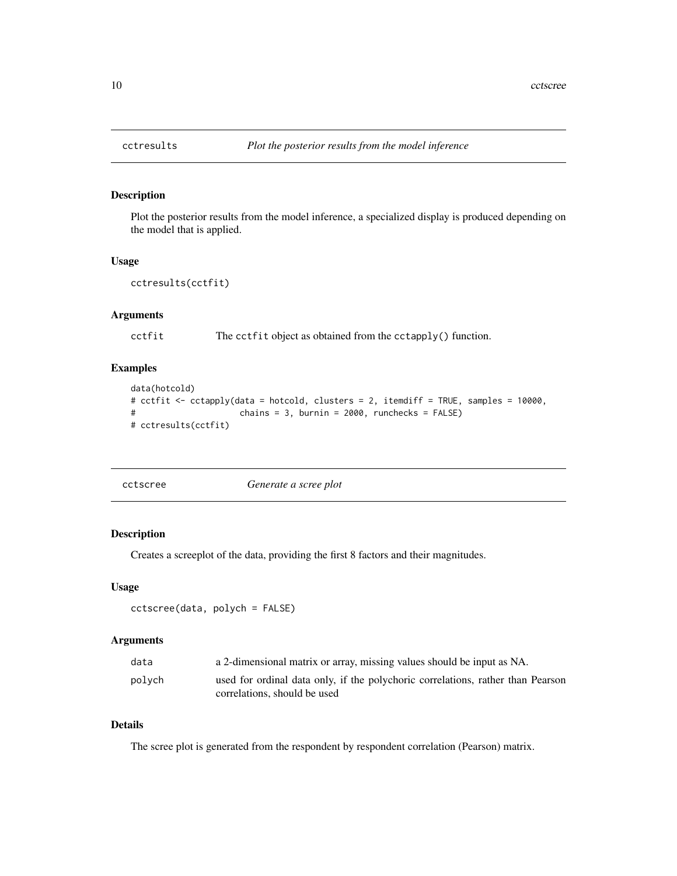Plot the posterior results from the model inference, a specialized display is produced depending on the model that is applied.

#### Usage

```
cctresults(cctfit)
```
## Arguments

cctfit The cctfit object as obtained from the cctapply() function.

## Examples

```
data(hotcold)
# cctfit <- cctapply(data = hotcold, clusters = 2, itemdiff = TRUE, samples = 10000,
# chains = 3, burnin = 2000, runchecks = FALSE)
# cctresults(cctfit)
```

| cctscree | Generate a scree plot |
|----------|-----------------------|
|          |                       |

### Description

Creates a screeplot of the data, providing the first 8 factors and their magnitudes.

#### Usage

```
cctscree(data, polych = FALSE)
```
## Arguments

| data   | a 2-dimensional matrix or array, missing values should be input as NA.                                          |
|--------|-----------------------------------------------------------------------------------------------------------------|
| polych | used for ordinal data only, if the polychoric correlations, rather than Pearson<br>correlations, should be used |

## Details

The scree plot is generated from the respondent by respondent correlation (Pearson) matrix.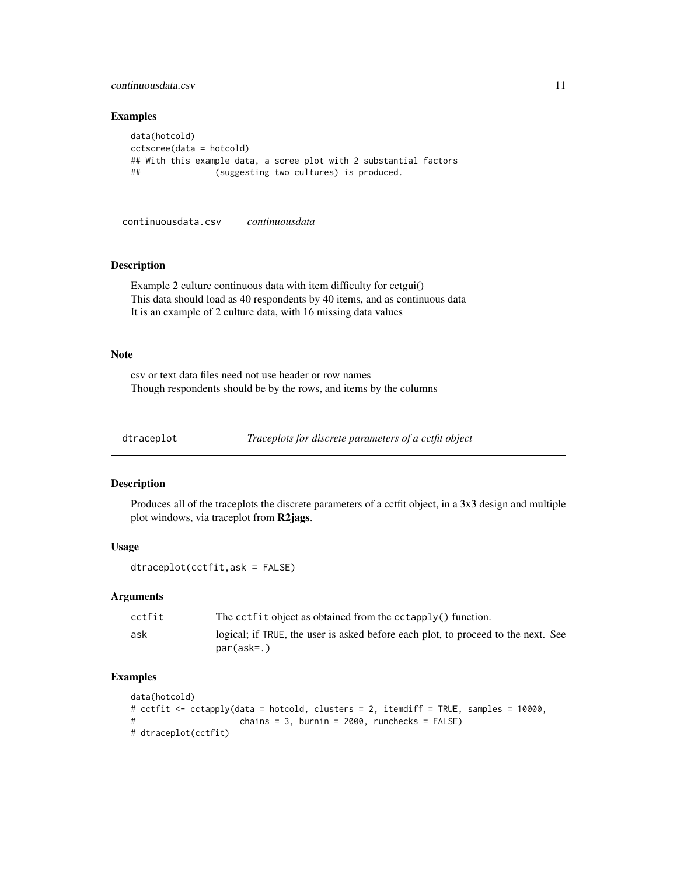## <span id="page-10-0"></span>continuousdata.csv 11

#### Examples

```
data(hotcold)
cctscree(data = hotcold)
## With this example data, a scree plot with 2 substantial factors
## (suggesting two cultures) is produced.
```
continuousdata.csv *continuousdata*

#### Description

Example 2 culture continuous data with item difficulty for cctgui() This data should load as 40 respondents by 40 items, and as continuous data It is an example of 2 culture data, with 16 missing data values

#### Note

csv or text data files need not use header or row names Though respondents should be by the rows, and items by the columns

```
dtraceplot Traceplots for discrete parameters of a cctfit object
```
#### Description

Produces all of the traceplots the discrete parameters of a cctfit object, in a 3x3 design and multiple plot windows, via traceplot from R2jags.

## Usage

```
dtraceplot(cctfit,ask = FALSE)
```
#### Arguments

| cctfit | The cctfit object as obtained from the cctapply() function.                                     |
|--------|-------------------------------------------------------------------------------------------------|
| ask    | logical; if TRUE, the user is asked before each plot, to proceed to the next. See<br>par(ask=.) |

```
data(hotcold)
# cctfit <- cctapply(data = hotcold, clusters = 2, itemdiff = TRUE, samples = 10000,
# chains = 3, burnin = 2000, runchecks = FALSE)
# dtraceplot(cctfit)
```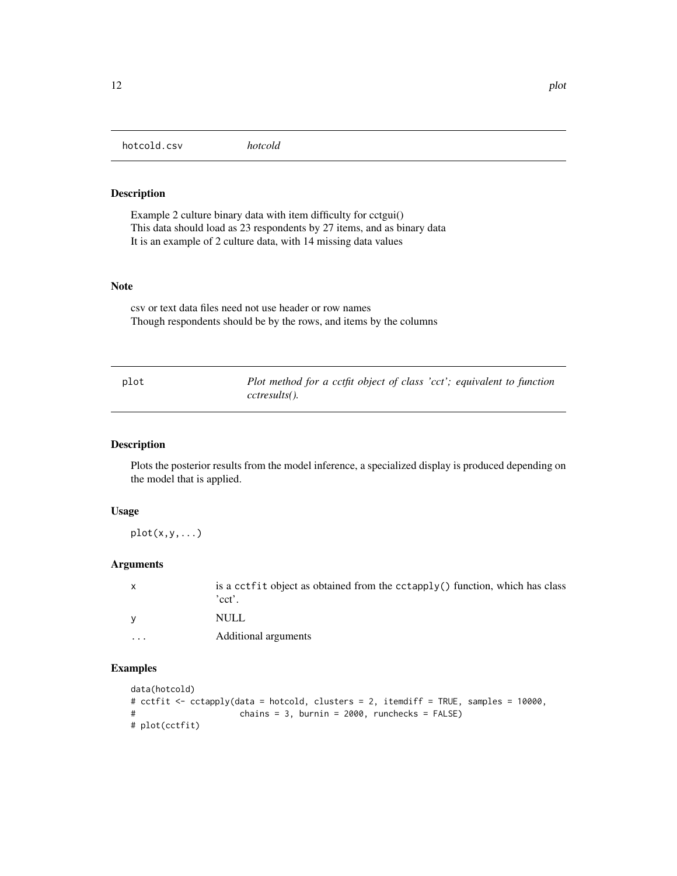<span id="page-11-0"></span>Example 2 culture binary data with item difficulty for cctgui() This data should load as 23 respondents by 27 items, and as binary data It is an example of 2 culture data, with 14 missing data values

## Note

csv or text data files need not use header or row names Though respondents should be by the rows, and items by the columns

| plot | Plot method for a cctfit object of class 'cct'; equivalent to function |
|------|------------------------------------------------------------------------|
|      | cctresults().                                                          |

## Description

Plots the posterior results from the model inference, a specialized display is produced depending on the model that is applied.

## Usage

 $plot(x,y,...)$ 

## Arguments

| $\mathsf{x}$            | is a cctfit object as obtained from the cctapply() function, which has class<br>'cct'. |
|-------------------------|----------------------------------------------------------------------------------------|
|                         | NULL.                                                                                  |
| $\cdot$ $\cdot$ $\cdot$ | Additional arguments                                                                   |

```
data(hotcold)
# cctfit <- cctapply(data = hotcold, clusters = 2, itemdiff = TRUE, samples = 10000,
# chains = 3, burnin = 2000, runchecks = FALSE)
# plot(cctfit)
```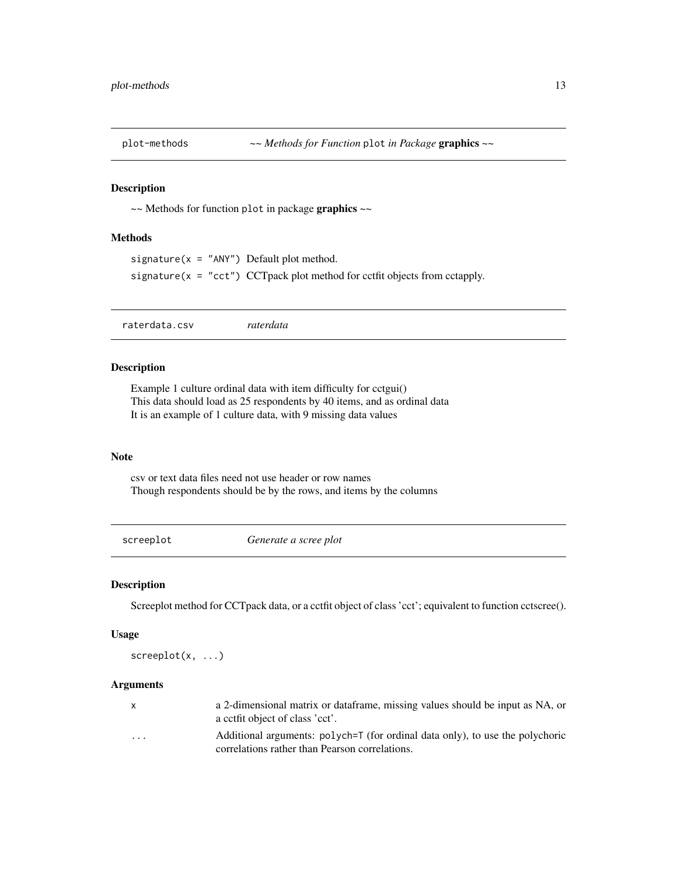<span id="page-12-0"></span>

~~ Methods for function plot in package graphics ~~

## Methods

```
signature(x = "ANY") Default plot method.
signature(x = "cct") CCT pack plot method for cctfit objects from cctapply.
```
raterdata.csv *raterdata*

#### Description

Example 1 culture ordinal data with item difficulty for cctgui() This data should load as 25 respondents by 40 items, and as ordinal data It is an example of 1 culture data, with 9 missing data values

#### Note

csv or text data files need not use header or row names Though respondents should be by the rows, and items by the columns

screeplot *Generate a scree plot*

## Description

Screeplot method for CCTpack data, or a cctfit object of class 'cct'; equivalent to function cctscree().

## Usage

screeplot(x, ...)

## Arguments

|                         | a 2-dimensional matrix or dataframe, missing values should be input as NA, or<br>a cetfit object of class 'cet'.                |
|-------------------------|---------------------------------------------------------------------------------------------------------------------------------|
| $\cdot$ $\cdot$ $\cdot$ | Additional arguments: polych=T (for ordinal data only), to use the polychoric<br>correlations rather than Pearson correlations. |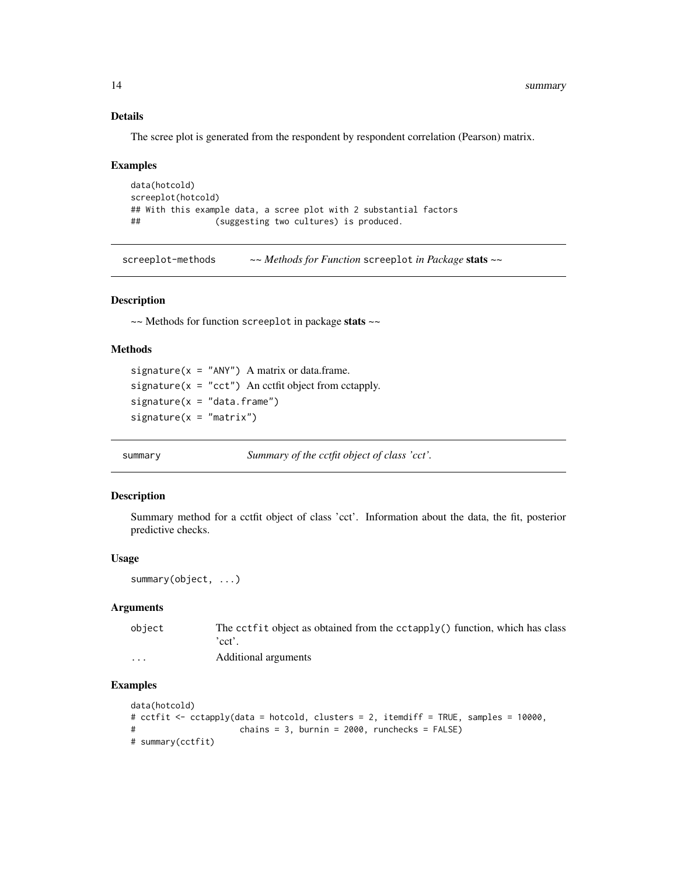<span id="page-13-0"></span>14 summary

## Details

The scree plot is generated from the respondent by respondent correlation (Pearson) matrix.

#### Examples

```
data(hotcold)
screeplot(hotcold)
## With this example data, a scree plot with 2 substantial factors
## (suggesting two cultures) is produced.
```
screeplot-methods *~~ Methods for Function* screeplot *in Package* stats *~~*

#### Description

~~ Methods for function screeplot in package stats ~~

#### Methods

signature( $x = "ANY")$  A matrix or data.frame. signature( $x = "cct")$  An cctfit object from cctapply.  $signature(x = "data-frame")$  $signature(x = "matrix")$ 

summary *Summary of the cctfit object of class 'cct'.*

#### Description

Summary method for a cctfit object of class 'cct'. Information about the data, the fit, posterior predictive checks.

### Usage

```
summary(object, ...)
```
## Arguments

| object   | The cctfit object as obtained from the cctapply() function, which has class |
|----------|-----------------------------------------------------------------------------|
|          | 'cct'.                                                                      |
| $\cdots$ | Additional arguments                                                        |

```
data(hotcold)
# cctfit <- cctapply(data = hotcold, clusters = 2, itemdiff = TRUE, samples = 10000,
# chains = 3, burnin = 2000, runchecks = FALSE)
# summary(cctfit)
```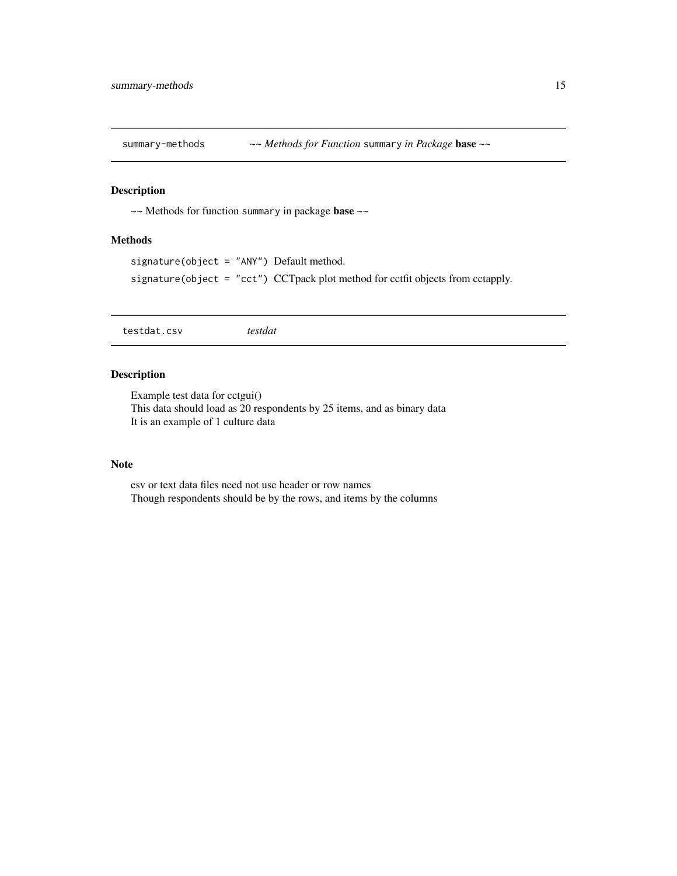<span id="page-14-0"></span>

~~ Methods for function summary in package base ~~

## Methods

```
signature(object = "ANY") Default method.
signature(object = "cct") CCTpack plot method for cctfit objects from cctapply.
```
testdat.csv *testdat*

## Description

Example test data for cctgui() This data should load as 20 respondents by 25 items, and as binary data It is an example of 1 culture data

### Note

csv or text data files need not use header or row names Though respondents should be by the rows, and items by the columns